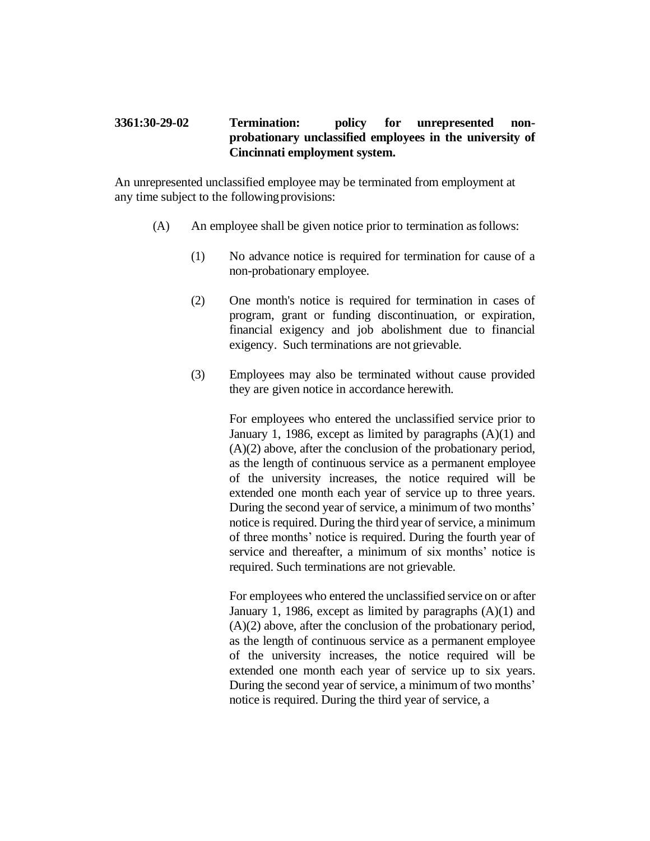## **3361:30-29-02 Termination: policy for unrepresented nonprobationary unclassified employees in the university of Cincinnati employment system.**

An unrepresented unclassified employee may be terminated from employment at any time subject to the followingprovisions:

- (A) An employee shall be given notice prior to termination asfollows:
	- (1) No advance notice is required for termination for cause of a non-probationary employee.
	- (2) One month's notice is required for termination in cases of program, grant or funding discontinuation, or expiration, financial exigency and job abolishment due to financial exigency. Such terminations are not grievable.
	- (3) Employees may also be terminated without cause provided they are given notice in accordance herewith.

For employees who entered the unclassified service prior to January 1, 1986, except as limited by paragraphs  $(A)(1)$  and (A)(2) above, after the conclusion of the probationary period, as the length of continuous service as a permanent employee of the university increases, the notice required will be extended one month each year of service up to three years. During the second year of service, a minimum of two months' notice is required. During the third year of service, a minimum of three months' notice is required. During the fourth year of service and thereafter, a minimum of six months' notice is required. Such terminations are not grievable.

For employees who entered the unclassified service on or after January 1, 1986, except as limited by paragraphs (A)(1) and (A)(2) above, after the conclusion of the probationary period, as the length of continuous service as a permanent employee of the university increases, the notice required will be extended one month each year of service up to six years. During the second year of service, a minimum of two months' notice is required. During the third year of service, a